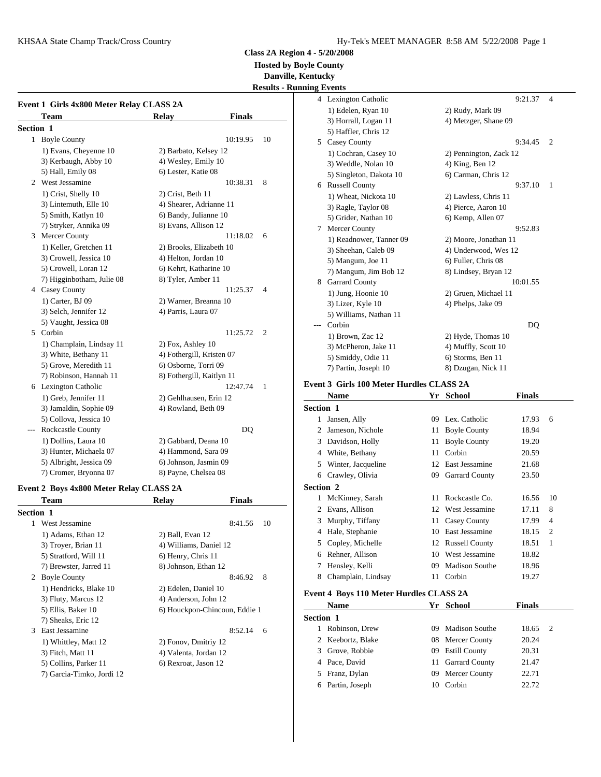**Hosted by Boyle County**

**Danville, Kentucky**

|           |                                          |                               |                | <b>Results - Running Events</b> |
|-----------|------------------------------------------|-------------------------------|----------------|---------------------------------|
|           |                                          |                               |                | 4 Lexington                     |
|           | Event 1 Girls 4x800 Meter Relay CLASS 2A |                               |                | 1) Edelen,                      |
|           | <b>Team</b>                              | <b>Finals</b><br><b>Relay</b> |                | 3) Horrall,                     |
| Section 1 |                                          |                               |                | 5) Haffler,                     |
|           | 1 Boyle County                           | 10:19.95                      | 10             | 5 Casey Cou                     |
|           | 1) Evans, Cheyenne 10                    | 2) Barbato, Kelsey 12         |                | 1) Cochrai                      |
|           | 3) Kerbaugh, Abby 10                     | 4) Wesley, Emily 10           |                | 3) Weddle                       |
|           | 5) Hall, Emily 08                        | 6) Lester, Katie 08           |                | 5) Singleto                     |
|           | 2 West Jessamine                         | 10:38.31                      | 8              | 6 Russell Co                    |
|           | 1) Crist, Shelly 10                      | 2) Crist, Beth 11             |                | 1) Wheat,                       |
|           | 3) Lintemuth, Elle 10                    | 4) Shearer, Adrianne 11       |                | 3) Ragle, T                     |
|           | 5) Smith, Katlyn 10                      | 6) Bandy, Julianne 10         |                | 5) Grider,                      |
|           | 7) Stryker, Annika 09                    | 8) Evans, Allison 12          |                | Mercer Co<br>7                  |
|           | 3 Mercer County                          | 11:18.02                      | 6              | 1) Readno                       |
|           | 1) Keller, Gretchen 11                   | 2) Brooks, Elizabeth 10       |                | 3) Sheehar                      |
|           | 3) Crowell, Jessica 10                   | 4) Helton, Jordan 10          |                | 5) Mangur                       |
|           | 5) Crowell, Loran 12                     | 6) Kehrt, Katharine 10        |                | 7) Mangur                       |
|           | 7) Higginbotham, Julie 08                | 8) Tyler, Amber 11            |                | Garrard Co<br>8                 |
|           | 4 Casey County                           | 11:25.37                      | $\overline{4}$ | $1)$ Jung, $H$                  |
|           | 1) Carter, BJ 09                         | 2) Warner, Breanna 10         |                | 3) Lizer, K                     |
|           | 3) Selch, Jennifer 12                    | 4) Parris, Laura 07           |                | 5) William                      |
|           | 5) Vaught, Jessica 08                    |                               |                | Corbin<br>$---$                 |
|           | 5 Corbin                                 | 11:25.72                      | $\overline{2}$ | 1) Brown,                       |
|           | 1) Champlain, Lindsay 11                 | 2) Fox, Ashley 10             |                | 3) McPher                       |
|           | 3) White, Bethany 11                     | 4) Fothergill, Kristen 07     |                | 5) Smiddy                       |
|           | 5) Grove, Meredith 11                    | 6) Osborne, Torri 09          |                | 7) Partin, J                    |
|           | 7) Robinson, Hannah 11                   | 8) Fothergill, Kaitlyn 11     |                |                                 |
|           | 6 Lexington Catholic                     | 12:47.74                      | 1              | <b>Event 3 Girls 1</b>          |
|           | 1) Greb, Jennifer 11                     | 2) Gehlhausen, Erin 12        |                | <b>Name</b>                     |
|           | 3) Jamaldin, Sophie 09                   | 4) Rowland, Beth 09           |                | Section 1                       |
|           | 5) Collova, Jessica 10                   |                               |                | 1 Jansen, Al                    |
|           | Rockcastle County                        | DQ                            |                | Jameson, N<br>2                 |
|           | 1) Dollins, Laura 10                     | 2) Gabbard, Deana 10          |                | Davidson,<br>3                  |
|           | 3) Hunter, Michaela 07                   | 4) Hammond, Sara 09           |                | White, Bet<br>4                 |
|           | 5) Albright, Jessica 09                  | 6) Johnson, Jasmin 09         |                | Winter, Jac<br>5                |
|           | 7) Cromer, Bryonna 07                    | 8) Payne, Chelsea 08          |                | 6 Crawley C                     |

### **Event 2 Boys 4x800 Meter Relay CLASS 2A**

|                  | <b>Team</b>               | Relay                  | <b>Finals</b>                 |                      | MCK1       |
|------------------|---------------------------|------------------------|-------------------------------|----------------------|------------|
| <b>Section 1</b> |                           |                        |                               | $\mathbf{2}^{\circ}$ | Evans      |
| 1                | West Jessamine            |                        | 8:41.56                       | 3<br>10              | Murp       |
|                  | 1) Adams, Ethan 12        | 2) Ball, Evan 12       |                               | 4                    | Hale,      |
|                  | 3) Troyer, Brian 11       | 4) Williams, Daniel 12 |                               |                      | 5 Cople    |
|                  | 5) Stratford, Will 11     | 6) Henry, Chris 11     |                               | 6                    | Rehne      |
|                  | 7) Brewster, Jarred 11    | 8) Johnson, Ethan 12   |                               | 7                    | Hensl      |
| 2                | <b>Boyle County</b>       |                        | 8:46.92<br>8                  | 8                    | Cham       |
|                  | 1) Hendricks, Blake 10    | 2) Edelen, Daniel 10   |                               | Event 4 Bo           |            |
|                  | 3) Fluty, Marcus 12       | 4) Anderson, John 12   |                               |                      |            |
|                  | 5) Ellis, Baker 10        |                        | 6) Houckpon-Chincoun, Eddie 1 |                      | <b>Nam</b> |
|                  | 7) Sheaks, Eric 12        |                        |                               | <b>Section 1</b>     |            |
| $\mathcal{R}$    | East Jessamine            |                        | 8:52.14<br>6                  |                      | Robin      |
|                  | 1) Whittley, Matt 12      | 2) Fonov, Dmitriy 12   |                               | 2                    | Keebo      |
|                  | 3) Fitch, Matt 11         | 4) Valenta, Jordan 12  |                               | 3                    | Grove      |
|                  | 5) Collins, Parker 11     | 6) Rexroat, Jason 12   |                               | 4                    | Pace,      |
|                  | 7) Garcia-Timko, Jordi 12 |                        |                               | 5                    | Franz      |
|                  |                           |                        |                               |                      |            |

|   | ıg Events               |                           |
|---|-------------------------|---------------------------|
|   | 4 Lexington Catholic    | 9:21.37<br>$\overline{4}$ |
|   | 1) Edelen, Ryan 10      | 2) Rudy, Mark 09          |
|   | 3) Horrall, Logan 11    | 4) Metzger, Shane 09      |
|   | 5) Haffler, Chris 12    |                           |
| 5 | <b>Casey County</b>     | 9:34.45<br>$\overline{c}$ |
|   | 1) Cochran, Casey 10    | 2) Pennington, Zack 12    |
|   | 3) Weddle, Nolan 10     | 4) King, Ben 12           |
|   | 5) Singleton, Dakota 10 | 6) Carman, Chris 12       |
| 6 | <b>Russell County</b>   | 9:37.10<br>1              |
|   | 1) Wheat, Nickota 10    | 2) Lawless, Chris 11      |
|   | 3) Ragle, Taylor 08     | 4) Pierce, Aaron 10       |
|   | 5) Grider, Nathan 10    | 6) Kemp, Allen 07         |
| 7 | Mercer County           | 9:52.83                   |
|   | 1) Readnower, Tanner 09 | 2) Moore, Jonathan 11     |
|   | 3) Sheehan, Caleb 09    | 4) Underwood, Wes 12      |
|   | 5) Mangum, Joe 11       | 6) Fuller, Chris 08       |
|   | 7) Mangum, Jim Bob 12   | 8) Lindsey, Bryan 12      |
| 8 | <b>Garrard County</b>   | 10:01.55                  |
|   | 1) Jung, Hoonie 10      | 2) Gruen, Michael 11      |
|   | 3) Lizer, Kyle 10       | 4) Phelps, Jake 09        |
|   | 5) Williams, Nathan 11  |                           |
|   | Corbin                  | DQ                        |
|   | 1) Brown, Zac 12        | 2) Hyde, Thomas 10        |
|   | 3) McPheron, Jake 11    | 4) Muffly, Scott 10       |
|   | 5) Smiddy, Odie 11      | 6) Storms, Ben 11         |
|   | 7) Partin, Joseph 10    | 8) Dzugan, Nick 11        |
|   |                         |                           |

### **Event 3 Girls 100 Meter Hurdles CLASS 2A**

|                  | <b>Name</b>        | Yr | School                | <b>Finals</b> |                |
|------------------|--------------------|----|-----------------------|---------------|----------------|
| Section 1        |                    |    |                       |               |                |
| 1                | Jansen, Ally       | 09 | Lex. Catholic         | 17.93         | 6              |
| 2                | Jameson, Nichole   |    | 11 Boyle County       | 18.94         |                |
| 3                | Davidson, Holly    |    | 11 Boyle County       | 19.20         |                |
| 4                | White, Bethany     | 11 | Corbin                | 20.59         |                |
| 5.               | Winter, Jacqueline | 12 | East Jessamine        | 21.68         |                |
| 6                | Crawley, Olivia    | 09 | Garrard County        | 23.50         |                |
| <b>Section 2</b> |                    |    |                       |               |                |
| 1                | McKinney, Sarah    | 11 | Rockcastle Co.        | 16.56         | 10             |
| 2                | Evans, Allison     | 12 | West Jessamine        | 17.11         | 8              |
| 3                | Murphy, Tiffany    | 11 | Casey County          | 17.99         | $\overline{4}$ |
| 4                | Hale, Stephanie    | 10 | East Jessamine        | 18.15         | $\overline{2}$ |
| 5                | Copley, Michelle   |    | 12 Russell County     | 18.51         | 1              |
| 6                | Rehner, Allison    | 10 | West Jessamine        | 18.82         |                |
| 7                | Hensley, Kelli     | 09 | <b>Madison Southe</b> | 18.96         |                |
| 8                | Champlain, Lindsay | 11 | Corbin                | 19.27         |                |

## **Event 4 Boys 110 Meter Hurdles CLASS 2A**

|                  | <b>Name</b>       |     | Yr School             | <b>Finals</b> |                |
|------------------|-------------------|-----|-----------------------|---------------|----------------|
| <b>Section 1</b> |                   |     |                       |               |                |
|                  | Robinson, Drew    | 09. | <b>Madison Southe</b> | 18.65         | $\overline{2}$ |
|                  | 2 Keebortz, Blake |     | 08 Mercer County      | 20.24         |                |
| 3                | Grove, Robbie     |     | 09 Estill County      | 20.31         |                |
|                  | 4 Pace, David     |     | 11 Garrard County     | 21.47         |                |
|                  | 5 Franz, Dylan    |     | 09 Mercer County      | 22.71         |                |
| 6                | Partin, Joseph    | 10  | Corbin                | 22.72         |                |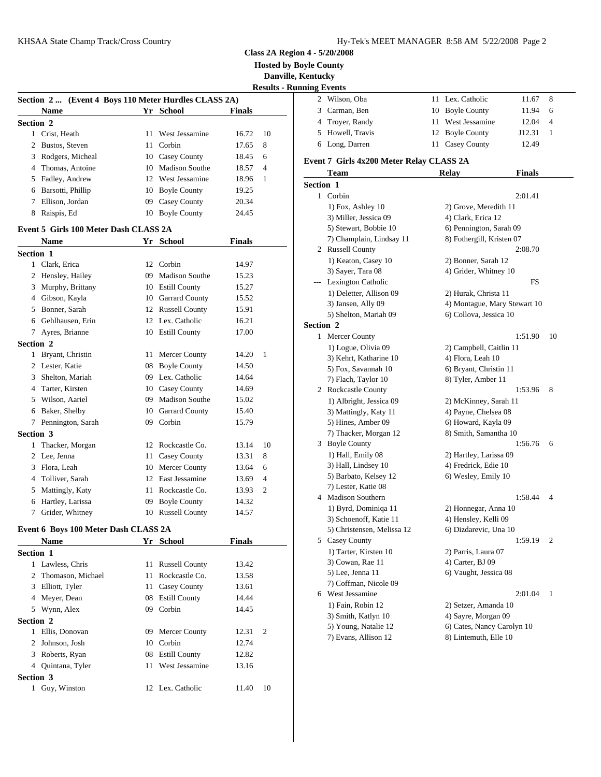**Hosted by Boyle County**

**Danville, Kentucky**

|                  | Section 2  (Event 4 Boys 110 Meter Hurdles CLASS 2A) |    |                     |        |                | <b>Results - Running Events</b><br>2<br>Wilso |
|------------------|------------------------------------------------------|----|---------------------|--------|----------------|-----------------------------------------------|
|                  | <b>Name</b>                                          |    | Yr School           | Finals |                | 3<br>Carm                                     |
| Section 2        |                                                      |    |                     |        |                | 4<br>Troye                                    |
|                  | 1 Crist, Heath                                       | 11 | West Jessamine      | 16.72  | 10             | 5<br>Howe                                     |
| 2                | Bustos, Steven                                       |    | 11 Corbin           | 17.65  | 8              | 6 Long,                                       |
| 3                | Rodgers, Micheal                                     |    | 10 Casey County     | 18.45  | 6              |                                               |
|                  | 4 Thomas, Antoine                                    |    | 10 Madison Southe   | 18.57  | 4              | Event 7 Gi                                    |
|                  | 5 Fadley, Andrew                                     |    | 12 West Jessamine   | 18.96  | 1              | Tean                                          |
| 6                | Barsotti, Phillip                                    |    | 10 Boyle County     | 19.25  |                | Section 1                                     |
| 7                | Ellison, Jordan                                      |    | 09 Casey County     | 20.34  |                | 1 Corbi                                       |
|                  | 8 Raispis, Ed                                        |    | 10 Boyle County     | 24.45  |                | $1)$ Fo                                       |
|                  |                                                      |    |                     |        |                | 3) Mi                                         |
|                  | Event 5 Girls 100 Meter Dash CLASS 2A                |    |                     |        |                | 5) Ste                                        |
|                  | <b>Name</b>                                          |    | Yr School           | Finals |                | $7)$ Ch                                       |
| <b>Section 1</b> |                                                      |    |                     |        |                | 2 Russe                                       |
|                  | 1 Clark, Erica                                       |    | 12 Corbin           | 14.97  |                | $1)$ Ke                                       |
|                  | 2 Hensley, Hailey                                    |    | 09 Madison Southe   | 15.23  |                | 3) Say<br>Lexin                               |
| 3                | Murphy, Brittany                                     |    | 10 Estill County    | 15.27  |                | $1)$ De                                       |
|                  | 4 Gibson, Kayla                                      |    | 10 Garrard County   | 15.52  |                | 3) Jan                                        |
|                  | 5 Bonner, Sarah                                      |    | 12 Russell County   | 15.91  |                | 5) Sh                                         |
|                  | 6 Gehlhausen, Erin                                   |    | 12 Lex. Catholic    | 16.21  |                | Section 2                                     |
|                  | 7 Ayres, Brianne                                     |    | 10 Estill County    | 17.00  |                | 1 Merce                                       |
| Section 2        |                                                      |    |                     |        |                | 1) Lo                                         |
|                  | 1 Bryant, Christin                                   |    | 11 Mercer County    | 14.20  | $\mathbf{1}$   | $3)$ Ke                                       |
|                  | 2 Lester, Katie                                      |    | 08 Boyle County     | 14.50  |                | $5)$ Fo:                                      |
| 3                | Shelton, Mariah                                      |    | 09 Lex. Catholic    | 14.64  |                | 7) Fla                                        |
|                  | 4 Tarter, Kirsten                                    |    | 10 Casey County     | 14.69  |                | 2<br>Rock                                     |
| 5                | Wilson, Aariel                                       |    | 09 Madison Southe   | 15.02  |                | $1)$ Al                                       |
|                  | 6 Baker, Shelby                                      |    | 10 Garrard County   | 15.40  |                | 3) Ma                                         |
| 7                | Pennington, Sarah                                    | 09 | Corbin              | 15.79  |                | $5)$ Hii                                      |
| Section 3        |                                                      |    |                     |        |                | $(7)$ Th                                      |
|                  | 1 Thacker, Morgan                                    |    | 12 Rockcastle Co.   | 13.14  | 10             | Boyle<br>3                                    |
|                  | 2 Lee, Jenna                                         |    | 11 Casey County     | 13.31  | 8              | 1) Ha                                         |
| 3                | Flora, Leah                                          |    | 10 Mercer County    | 13.64  | 6              | 3) Ha                                         |
| 4                | Tolliver, Sarah                                      |    | 12 East Jessamine   | 13.69  | $\overline{4}$ | 5) Ba                                         |
| 5                | Mattingly, Katy                                      |    | 11 Rockcastle Co.   | 13.93  | 2              | $7)$ Les                                      |
| 6                | Hartley, Larissa                                     | 09 | <b>Boyle County</b> | 14.32  |                | 4 Madis                                       |
|                  | 7 Grider, Whitney                                    |    | 10 Russell County   | 14.57  |                | 1) By<br>3) Scl                               |
|                  |                                                      |    |                     |        |                |                                               |

## **Event 6 Boys 100 Meter Dash CLASS 2A**

|                  | <b>Name</b>         |    | Yr School         | <b>Finals</b> |                | 5<br>Casey |  |
|------------------|---------------------|----|-------------------|---------------|----------------|------------|--|
| <b>Section 1</b> |                     |    |                   |               |                | $1)$ Ta    |  |
|                  | 1 Lawless, Chris    |    | 11 Russell County | 13.42         |                | $3)$ Co    |  |
|                  | 2 Thomason, Michael |    | 11 Rockcastle Co. | 13.58         |                | $5)$ Leo   |  |
|                  | 3 Elliott, Tyler    |    | 11 Casey County   | 13.61         |                | $7)$ Co    |  |
| 4                | Meyer, Dean         |    | 08 Estill County  | 14.44         |                | West<br>6  |  |
|                  | 5 Wynn, Alex        |    | 09 Corbin         | 14.45         |                | $1)$ Fai   |  |
| <b>Section 2</b> |                     |    |                   |               |                | $3)$ Sm    |  |
|                  | Ellis, Donovan      |    | 09 Mercer County  | 12.31         | $\overline{2}$ | 5) Yo      |  |
|                  | 2 Johnson, Josh     |    | 10 Corbin         | 12.74         |                | 7) Ev      |  |
|                  | 3 Roberts, Ryan     |    | 08 Estill County  | 12.82         |                |            |  |
|                  | 4 Quintana, Tyler   | 11 | West Jessamine    | 13.16         |                |            |  |
| <b>Section 3</b> |                     |    |                   |               |                |            |  |
|                  | Guy, Winston        |    | 12 Lex. Catholic  | 11.40         | 10             |            |  |
|                  |                     |    |                   |               |                |            |  |

| ututny |                                          |                   |        |                |
|--------|------------------------------------------|-------------------|--------|----------------|
|        | ng Events                                |                   |        |                |
| 2      | Wilson, Oba                              | 11 Lex. Catholic  | 11.67  | - 8            |
|        | 3 Carman, Ben                            | 10 Boyle County   | 11.94  | - 6            |
|        | 4 Troyer, Randy                          | 11 West Jessamine | 12.04  | $\overline{4}$ |
|        | 5 Howell, Travis                         | 12 Boyle County   | J12.31 |                |
|        | 6 Long, Darren                           | 11 Casey County   | 12.49  |                |
|        | vont 7. Cirls 4x200 Motor Polay CLASS 2A |                   |        |                |

## **Event 7 Girls 4x200 Meter Relay CLASS 2A**

|                  | Team                       | <b>Relay</b>               | <b>Finals</b>                |                |
|------------------|----------------------------|----------------------------|------------------------------|----------------|
| <b>Section 1</b> |                            |                            |                              |                |
|                  | 1 Corbin                   |                            | 2:01.41                      |                |
|                  | 1) Fox, Ashley 10          | 2) Grove, Meredith 11      |                              |                |
|                  | 3) Miller, Jessica 09      | 4) Clark, Erica 12         |                              |                |
|                  | 5) Stewart, Bobbie 10      | 6) Pennington, Sarah 09    |                              |                |
|                  | 7) Champlain, Lindsay 11   | 8) Fothergill, Kristen 07  |                              |                |
|                  | 2 Russell County           |                            | 2:08.70                      |                |
|                  | 1) Keaton, Casey 10        | 2) Bonner, Sarah 12        |                              |                |
|                  | 3) Sayer, Tara 08          | 4) Grider, Whitney 10      |                              |                |
|                  | --- Lexington Catholic     |                            | FS                           |                |
|                  | 1) Deletter, Allison 09    | 2) Hurak, Christa 11       |                              |                |
|                  | 3) Jansen, Ally 09         |                            | 4) Montague, Mary Stewart 10 |                |
|                  | 5) Shelton, Mariah 09      | 6) Collova, Jessica 10     |                              |                |
| <b>Section 2</b> |                            |                            |                              |                |
|                  | 1 Mercer County            |                            | 1:51.90                      | 10             |
|                  | 1) Logue, Olivia 09        | 2) Campbell, Caitlin 11    |                              |                |
|                  | 3) Kehrt, Katharine 10     | 4) Flora, Leah 10          |                              |                |
|                  | 5) Fox, Savannah 10        | 6) Bryant, Christin 11     |                              |                |
|                  | 7) Flach, Taylor 10        | 8) Tyler, Amber 11         |                              |                |
|                  | 2 Rockcastle County        |                            | 1:53.96                      | 8              |
|                  | 1) Albright, Jessica 09    | 2) McKinney, Sarah 11      |                              |                |
|                  | 3) Mattingly, Katy 11      | 4) Payne, Chelsea 08       |                              |                |
|                  | 5) Hines, Amber 09         | 6) Howard, Kayla 09        |                              |                |
|                  | 7) Thacker, Morgan 12      | 8) Smith, Samantha 10      |                              |                |
|                  | 3 Boyle County             |                            | 1:56.76                      | 6              |
|                  | 1) Hall, Emily 08          | 2) Hartley, Larissa 09     |                              |                |
|                  | 3) Hall, Lindsey 10        | 4) Fredrick, Edie 10       |                              |                |
|                  | 5) Barbato, Kelsey 12      | 6) Wesley, Emily 10        |                              |                |
|                  | 7) Lester, Katie 08        |                            |                              |                |
|                  | 4 Madison Southern         |                            | 1:58.44                      | $\overline{4}$ |
|                  | 1) Byrd, Dominiqa 11       | 2) Honnegar, Anna 10       |                              |                |
|                  | 3) Schoenoff, Katie 11     | 4) Hensley, Kelli 09       |                              |                |
|                  | 5) Christensen, Melissa 12 | 6) Dizdarevic, Una 10      |                              |                |
|                  | 5 Casey County             |                            | 1:59.19                      | 2              |
|                  | 1) Tarter, Kirsten 10      | 2) Parris, Laura 07        |                              |                |
|                  | 3) Cowan, Rae 11           | 4) Carter, BJ 09           |                              |                |
|                  | 5) Lee, Jenna 11           | 6) Vaught, Jessica 08      |                              |                |
|                  | 7) Coffman, Nicole 09      |                            |                              |                |
|                  | 6 West Jessamine           |                            | 2:01.04                      | 1              |
|                  | 1) Fain, Robin 12          | 2) Setzer, Amanda 10       |                              |                |
|                  | 3) Smith, Katlyn 10        | 4) Sayre, Morgan 09        |                              |                |
|                  | 5) Young, Natalie 12       | 6) Cates, Nancy Carolyn 10 |                              |                |
|                  | 7) Evans, Allison 12       | 8) Lintemuth, Elle 10      |                              |                |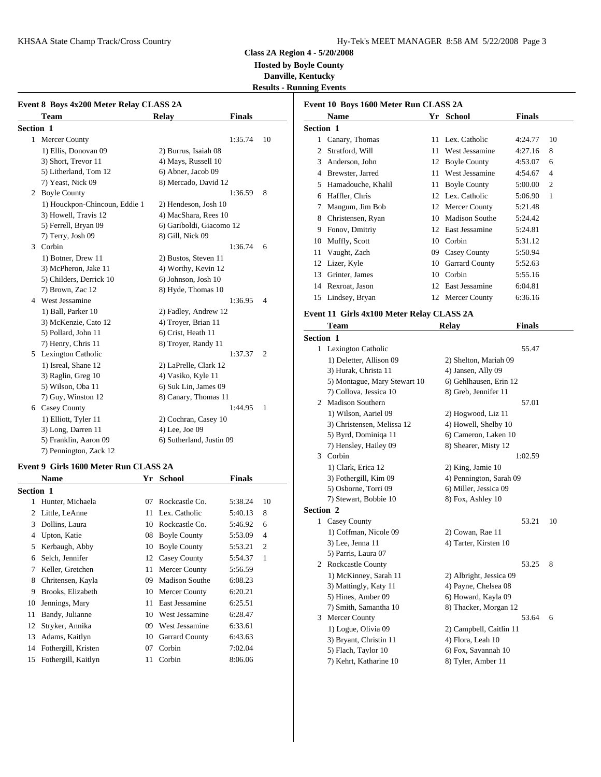### KHSAA State Champ Track/Cross Country The Country Hy-Tek's MEET MANAGER 8:58 AM 5/22/2008 Page 3

**Class 2A Region 4 - 5/20/2008 Hosted by Boyle County**

**Danville, Kentucky Results - Running Events**

|           | Event 8 Boys 4x200 Meter Relay CLASS 2A |                          |               |                |              | Event 10 B         |
|-----------|-----------------------------------------|--------------------------|---------------|----------------|--------------|--------------------|
|           | <b>Team</b>                             | Relay                    | <b>Finals</b> |                |              | <b>Nam</b>         |
| Section 1 |                                         |                          |               |                | Section 1    |                    |
|           | 1 Mercer County                         |                          | 1:35.74       | 10             | $\mathbf{1}$ | Canar              |
|           | 1) Ellis, Donovan 09                    | 2) Burrus, Isaiah 08     |               |                | 2            | Stratf             |
|           | 3) Short, Trevor 11                     | 4) Mays, Russell 10      |               |                | 3            | Ander              |
|           | 5) Litherland, Tom 12                   | 6) Abner, Jacob 09       |               |                | 4            | Brew:              |
|           | 7) Yeast, Nick 09                       | 8) Mercado, David 12     |               |                | 5            | Hama               |
|           | 2 Boyle County                          |                          | 1:36.59       | 8              | 6            | Haffle             |
|           | 1) Houckpon-Chincoun, Eddie 1           | 2) Hendeson, Josh 10     |               |                | 7            | Mang               |
|           | 3) Howell, Travis 12                    | 4) MacShara, Rees 10     |               |                | 8            | Christ             |
|           | 5) Ferrell, Bryan 09                    | 6) Gariboldi, Giacomo 12 |               |                | 9            | Fonoy              |
|           | 7) Terry, Josh 09                       | 8) Gill, Nick 09         |               |                | 10           | Muffl              |
| 3         | Corbin                                  |                          | 1:36.74       | 6              | 11           | Vaugl              |
|           | 1) Botner, Drew 11                      | 2) Bustos, Steven 11     |               |                | 12           |                    |
|           | 3) McPheron, Jake 11                    | 4) Worthy, Kevin 12      |               |                |              | Lizer,             |
|           | 5) Childers, Derrick 10                 | 6) Johnson, Josh 10      |               |                | 13           | Grint              |
|           | 7) Brown, Zac 12                        | 8) Hyde, Thomas 10       |               |                | 14           | Rexro              |
| 4         | West Jessamine                          |                          | 1:36.95       | $\overline{4}$ | 15           | Linds              |
|           | 1) Ball, Parker 10                      | 2) Fadley, Andrew 12     |               |                | Event 11 G   |                    |
|           | 3) McKenzie, Cato 12                    | 4) Troyer, Brian 11      |               |                |              | Tean               |
|           | 5) Pollard, John 11                     | 6) Crist, Heath 11       |               |                | Section 1    |                    |
|           | 7) Henry, Chris 11                      | 8) Troyer, Randy 11      |               |                |              | 1 Lexin            |
|           | 5 Lexington Catholic                    |                          | 1:37.37       | 2              |              |                    |
|           | 1) Isreal, Shane 12                     | 2) LaPrelle, Clark 12    |               |                |              | $1)$ De<br>$3)$ Hu |
|           | 3) Raglin, Greg 10                      | 4) Vasiko, Kyle 11       |               |                |              | 5) Mo              |
|           | 5) Wilson, Oba 11                       | 6) Suk Lin, James 09     |               |                |              | $7)$ Co            |
|           | 7) Guy, Winston 12                      | 8) Canary, Thomas 11     |               |                | 2            | Madis              |
|           | 6 Casey County                          |                          | 1:44.95       | 1              |              |                    |
|           | 1) Elliott, Tyler 11                    | 2) Cochran, Casey 10     |               |                |              | $1)$ Wi            |
|           | 3) Long, Darren 11                      | 4) Lee, Joe 09           |               |                |              | $3)$ Ch            |
|           | 5) Franklin, Aaron 09                   | 6) Sutherland, Justin 09 |               |                |              | 5) By<br>7) He     |
|           | 7) Pennington, Zack 12                  |                          |               |                |              | $2$ $Csub$ :       |

#### **Event 9 Girls 1600 Meter Run CLASS 2A**

|                  | <b>Name</b>            |    | Yr School             | <b>Finals</b> |                | $3)$ Fot            |
|------------------|------------------------|----|-----------------------|---------------|----------------|---------------------|
| <b>Section 1</b> |                        |    |                       |               |                | $5)$ Os             |
|                  | Hunter, Michaela       | 07 | Rockcastle Co.        | 5:38.24       | 10             | 7) Ste              |
|                  | 2 Little, LeAnne       |    | 11 Lex. Catholic      | 5:40.13       | 8              | <b>Section 2</b>    |
| 3                | Dollins, Laura         |    | 10 Rockcastle Co.     | 5:46.92       | 6              | Casey               |
| 4                | Upton, Katie           |    | 08 Boyle County       | 5:53.09       | $\overline{4}$ | 1) Co               |
| 5                | Kerbaugh, Abby         |    | 10 Boyle County       | 5:53.21       | $\overline{2}$ | $3)$ Leo            |
| 6                | Selch, Jennifer        |    | 12 Casey County       | 5:54.37       | 1              | 5) Pai              |
|                  | Keller, Gretchen       |    | 11 Mercer County      | 5:56.59       |                | Rock<br>2           |
| 8                | Chritensen, Kayla      | 09 | <b>Madison Southe</b> | 6:08.23       |                | $1)$ M              |
| 9                | Brooks, Elizabeth      |    | 10 Mercer County      | 6:20.21       |                | $3)$ Ma<br>$5)$ Hii |
| 10               | Jennings, Mary         | 11 | East Jessamine        | 6:25.51       |                | 7) Sm               |
| 11               | Bandy, Julianne        | 10 | West Jessamine        | 6:28.47       |                | Merce<br>3          |
| 12               | Stryker, Annika        | 09 | West Jessamine        | 6:33.61       |                | $1)$ Lo             |
| 13               | Adams, Kaitlyn         |    | 10 Garrard County     | 6:43.63       |                | $3)$ Br             |
|                  | 14 Fothergill, Kristen | 07 | Corbin                | 7:02.04       |                | 5) Fla              |
| 15               | Fothergill, Kaitlyn    | 11 | Corbin                | 8:06.06       |                | 7) Ke               |
|                  |                        |    |                       |               |                |                     |

|                  | <b>Name</b>        |    | Yr School             | <b>Finals</b> |                |
|------------------|--------------------|----|-----------------------|---------------|----------------|
| <b>Section 1</b> |                    |    |                       |               |                |
| 1                | Canary, Thomas     |    | 11 Lex. Catholic      | 4:24.77       | 10             |
| 2                | Stratford, Will    | 11 | West Jessamine        | 4:27.16       | 8              |
| 3                | Anderson, John     |    | 12 Boyle County       | 4:53.07       | 6              |
| 4                | Brewster, Jarred   | 11 | West Jessamine        | 4:54.67       | $\overline{4}$ |
| 5                | Hamadouche, Khalil | 11 | <b>Boyle County</b>   | 5:00.00       | $\overline{c}$ |
| 6                | Haffler, Chris     |    | 12 Lex. Catholic      | 5:06.90       | 1              |
| 7                | Mangum, Jim Bob    |    | 12 Mercer County      | 5:21.48       |                |
| 8                | Christensen, Ryan  | 10 | <b>Madison Southe</b> | 5:24.42       |                |
| 9                | Fonov, Dmitriy     | 12 | East Jessamine        | 5:24.81       |                |
| 10               | Muffly, Scott      | 10 | Corbin                | 5:31.12       |                |
| 11               | Vaught, Zach       | 09 | Casey County          | 5:50.94       |                |
| 12               | Lizer, Kyle        | 10 | <b>Garrard County</b> | 5:52.63       |                |
| 13               | Grinter, James     | 10 | Corbin                | 5:55.16       |                |
| 14               | Rexroat, Jason     | 12 | East Jessamine        | 6:04.81       |                |
| 15               | Lindsey, Bryan     | 12 | Mercer County         | 6:36.16       |                |
|                  |                    |    |                       |               |                |

# **Event 11 Girls 4x100 Meter Relay CLASS 2A**

|                  | <b>Team</b>                  | <b>Relay</b>            | <b>Finals</b> |    |
|------------------|------------------------------|-------------------------|---------------|----|
| <b>Section 1</b> |                              |                         |               |    |
|                  | 1 Lexington Catholic         |                         | 55.47         |    |
|                  | 1) Deletter, Allison 09      | 2) Shelton, Mariah 09   |               |    |
|                  | 3) Hurak, Christa 11         | 4) Jansen, Ally 09      |               |    |
|                  | 5) Montague, Mary Stewart 10 | 6) Gehlhausen, Erin 12  |               |    |
|                  | 7) Collova, Jessica 10       | 8) Greb, Jennifer 11    |               |    |
|                  | 2 Madison Southern           |                         | 57.01         |    |
|                  | 1) Wilson, Aariel 09         | 2) Hogwood, Liz 11      |               |    |
|                  | 3) Christensen, Melissa 12   | 4) Howell, Shelby 10    |               |    |
|                  | 5) Byrd, Dominiqa 11         | 6) Cameron, Laken 10    |               |    |
|                  | 7) Hensley, Hailey 09        | 8) Shearer, Misty 12    |               |    |
| 3                | Corbin                       |                         | 1:02.59       |    |
|                  | 1) Clark, Erica 12           | 2) King, Jamie 10       |               |    |
|                  | 3) Fothergill, Kim 09        | 4) Pennington, Sarah 09 |               |    |
|                  | 5) Osborne, Torri 09         | 6) Miller, Jessica 09   |               |    |
|                  | 7) Stewart, Bobbie 10        | 8) Fox, Ashley 10       |               |    |
| <b>Section 2</b> |                              |                         |               |    |
|                  | 1 Casey County               |                         | 53.21         | 10 |
|                  | 1) Coffman, Nicole 09        | 2) Cowan, Rae 11        |               |    |
|                  | 3) Lee, Jenna 11             | 4) Tarter, Kirsten 10   |               |    |
|                  | 5) Parris, Laura 07          |                         |               |    |
|                  | 2 Rockcastle County          |                         | 53.25         | 8  |
|                  | 1) McKinney, Sarah 11        | 2) Albright, Jessica 09 |               |    |
|                  | 3) Mattingly, Katy 11        | 4) Payne, Chelsea 08    |               |    |
|                  | 5) Hines, Amber 09           | 6) Howard, Kayla 09     |               |    |
|                  | 7) Smith, Samantha 10        | 8) Thacker, Morgan 12   |               |    |
| 3                | <b>Mercer County</b>         |                         | 53.64         | 6  |
|                  | 1) Logue, Olivia 09          | 2) Campbell, Caitlin 11 |               |    |
|                  | 3) Bryant, Christin 11       | 4) Flora, Leah 10       |               |    |
|                  | 5) Flach, Taylor 10          | 6) Fox, Savannah 10     |               |    |
|                  | 7) Kehrt, Katharine 10       | 8) Tyler, Amber 11      |               |    |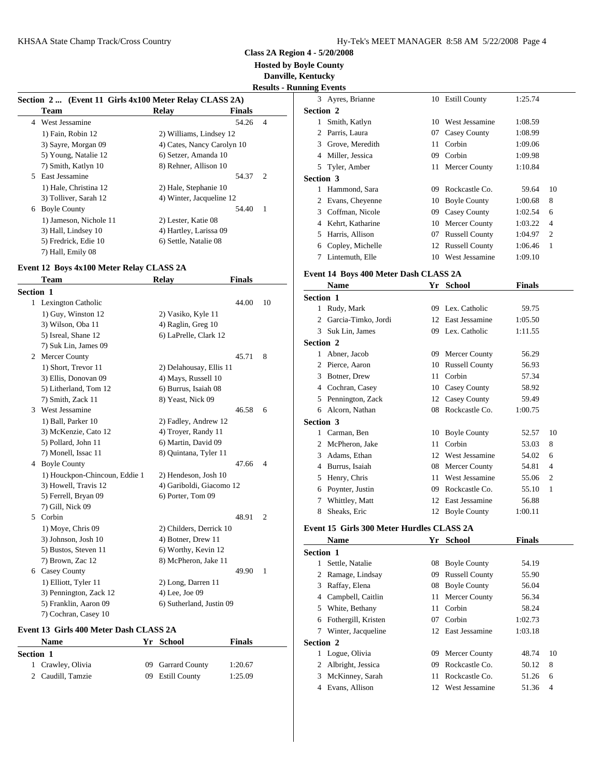**Hosted by Boyle County**

**Danville, Kentucky**

**Results - Running Events**

|    | Section 2  (Event 11 Girls 4x100 Meter Relay CLASS 2A) |                            |               |                |           | $3$ Ayre        |
|----|--------------------------------------------------------|----------------------------|---------------|----------------|-----------|-----------------|
|    | <b>Team</b>                                            | Relay                      | <b>Finals</b> |                | Section 2 |                 |
|    | 4 West Jessamine                                       |                            | 54.26         | $\overline{4}$ |           | Smit            |
|    | 1) Fain, Robin 12                                      | 2) Williams, Lindsey 12    |               |                |           | 2 Parr          |
|    | 3) Sayre, Morgan 09                                    | 4) Cates, Nancy Carolyn 10 |               |                |           | 3 Grov          |
|    | 5) Young, Natalie 12                                   | 6) Setzer, Amanda 10       |               |                |           | 4 Mill          |
|    | 7) Smith, Katlyn 10                                    | 8) Rehner, Allison 10      |               |                |           | 5 Tyle          |
| 5. | East Jessamine                                         |                            | 54.37         | $\overline{c}$ | Section 3 |                 |
|    | 1) Hale, Christina 12                                  | 2) Hale, Stephanie 10      |               |                |           | Ham             |
|    | 3) Tolliver, Sarah 12                                  | 4) Winter, Jacqueline 12   |               |                |           | 2 Evan          |
| 6  | <b>Boyle County</b>                                    |                            | 54.40         | $\overline{1}$ |           | 3 Coff          |
|    | 1) Jameson, Nichole 11                                 | 2) Lester, Katie 08        |               |                |           | 4 Keh           |
|    | 3) Hall, Lindsey 10                                    | 4) Hartley, Larissa 09     |               |                |           | 5 Harr          |
|    | 5) Fredrick, Edie 10                                   | 6) Settle, Natalie 08      |               |                | 6         | Copl            |
|    | 7) Hall, Emily 08                                      |                            |               |                |           | $7.1$ interest. |

## **Event 12 Boys 4x100 Meter Relay CLASS 2A**

|           | <b>Team</b>                   | <b>Relay</b>             | <b>Finals</b> |                |              | <b>Nam</b>                  |
|-----------|-------------------------------|--------------------------|---------------|----------------|--------------|-----------------------------|
| Section 1 |                               |                          |               |                | Section 1    |                             |
|           | 1 Lexington Catholic          |                          | 44.00         | 10             |              |                             |
|           | 1) Guy, Winston 12            | 2) Vasiko, Kyle 11       |               |                | $\mathbf{1}$ | Rudy.                       |
|           | 3) Wilson, Oba 11             | 4) Raglin, Greg 10       |               |                | 2            | Garci                       |
|           | 5) Isreal, Shane 12           | 6) LaPrelle, Clark 12    |               |                | 3            | Suk <sub>L</sub>            |
|           | 7) Suk Lin, James 09          |                          |               |                | Section 2    |                             |
|           | 2 Mercer County               |                          | 45.71         | 8              | 1            | Abner                       |
|           | 1) Short, Trevor 11           | 2) Delahousay, Ellis 11  |               |                | 2            | Pierce                      |
|           | 3) Ellis, Donovan 09          | 4) Mays, Russell 10      |               |                | 3            | Botne                       |
|           | 5) Litherland, Tom 12         | 6) Burrus, Isaiah 08     |               |                | 4            | Cochi                       |
|           | 7) Smith, Zack 11             | 8) Yeast, Nick 09        |               |                | 5            | Penni                       |
| 3         | West Jessamine                |                          | 46.58         | 6              | 6            | Alcor                       |
|           | 1) Ball, Parker 10            | 2) Fadley, Andrew 12     |               |                | Section 3    |                             |
|           | 3) McKenzie, Cato 12          | 4) Troyer, Randy 11      |               |                | 1            | Carm                        |
|           | 5) Pollard, John 11           | 6) Martin, David 09      |               |                | 2            | McPh                        |
|           | 7) Monell, Issac 11           | 8) Quintana, Tyler 11    |               |                | 3            | Adam                        |
|           | 4 Boyle County                |                          | 47.66         | 4              | 4            | Burru                       |
|           | 1) Houckpon-Chincoun, Eddie 1 | 2) Hendeson, Josh 10     |               |                | 5            | Henry                       |
|           | 3) Howell, Travis 12          | 4) Gariboldi, Giacomo 12 |               |                | 6            | Poynt                       |
|           | 5) Ferrell, Bryan 09          | 6) Porter, Tom 09        |               |                | 7            | Whitt                       |
|           | 7) Gill, Nick 09              |                          |               |                | 8            | Sheak                       |
| 5.        | Corbin                        |                          | 48.91         | $\overline{2}$ |              |                             |
|           | 1) Moye, Chris 09             | 2) Childers, Derrick 10  |               |                |              | Event 15 G                  |
|           | 3) Johnson, Josh 10           | 4) Botner, Drew 11       |               |                |              | <b>Nam</b>                  |
|           | 5) Bustos, Steven 11          | 6) Worthy, Kevin 12      |               |                | Section 1    |                             |
|           | 7) Brown, Zac 12              | 8) McPheron, Jake 11     |               |                | 1            | Settle                      |
|           | 6 Casey County                |                          | 49.90         | 1              | 2            | Rama                        |
|           | 1) Elliott, Tyler 11          | 2) Long, Darren 11       |               |                | 3            | Raffa                       |
|           | 3) Pennington, Zack 12        | 4) Lee, Joe 09           |               |                | 4            | Camp                        |
|           | 5) Franklin, Aaron 09         | 6) Sutherland, Justin 09 |               |                | 5            | White                       |
|           | 7) Cochran, Casey 10          |                          |               |                |              | $\mathbf{r}$ . $\mathbf{r}$ |

#### **Event 13 Girls 400 Meter Dash CLASS 2A**

| <b>Name</b> |                   |  | Yr School         | <b>Finals</b> | <b>Section</b> |
|-------------|-------------------|--|-------------------|---------------|----------------|
| Section 1   |                   |  |                   |               |                |
|             | 1 Crawley, Olivia |  | 09 Garrard County | 1:20.67       |                |
|             | 2 Caudill, Tamzie |  | 09 Estill County  | 1:25.09       |                |

|                  | 3 Ayres, Brianne                          |    | 10 Estill County      | 1:25.74       |                |
|------------------|-------------------------------------------|----|-----------------------|---------------|----------------|
| <b>Section 2</b> |                                           |    |                       |               |                |
|                  | 1 Smith, Katlyn                           |    | 10 West Jessamine     | 1:08.59       |                |
|                  | 2 Parris, Laura                           |    | 07 Casey County       | 1:08.99       |                |
|                  | 3 Grove, Meredith                         | 11 | Corbin                | 1:09.06       |                |
|                  | 4 Miller, Jessica                         |    | 09 Corbin             | 1:09.98       |                |
|                  | 5 Tyler, Amber                            |    | 11 Mercer County      | 1:10.84       |                |
| <b>Section 3</b> |                                           |    |                       |               |                |
|                  | 1 Hammond, Sara                           |    | 09 Rockcastle Co.     | 59.64         | 10             |
|                  | 2 Evans, Cheyenne                         |    | 10 Boyle County       | 1:00.68       | 8              |
|                  | 3 Coffman, Nicole                         |    | 09 Casey County       | 1:02.54       | 6              |
|                  | 4 Kehrt, Katharine                        |    | 10 Mercer County      | 1:03.22       | 4              |
|                  | 5 Harris, Allison                         |    | 07 Russell County     | 1:04.97       | 2              |
|                  | 6 Copley, Michelle                        |    | 12 Russell County     | 1:06.46       | 1              |
|                  | 7 Lintemuth, Elle                         |    | 10 West Jessamine     | 1:09.10       |                |
|                  | Event 14 Boys 400 Meter Dash CLASS 2A     |    |                       |               |                |
|                  | <b>Name</b>                               |    | Yr School             | <b>Finals</b> |                |
| Section 1        |                                           |    |                       |               |                |
|                  | 1 Rudy, Mark                              |    | 09 Lex. Catholic      | 59.75         |                |
|                  | 2 Garcia-Timko, Jordi                     |    | 12 East Jessamine     | 1:05.50       |                |
|                  | 3 Suk Lin, James                          |    | 09 Lex. Catholic      | 1:11.55       |                |
| <b>Section 2</b> |                                           |    |                       |               |                |
|                  | 1 Abner, Jacob                            |    | 09 Mercer County      | 56.29         |                |
|                  | 2 Pierce, Aaron                           |    | 10 Russell County     | 56.93         |                |
|                  | 3 Botner, Drew                            | 11 | Corbin                | 57.34         |                |
|                  | 4 Cochran, Casey                          |    | 10 Casey County       | 58.92         |                |
|                  | 5 Pennington, Zack                        |    | 12 Casey County       | 59.49         |                |
|                  | 6 Alcorn, Nathan                          |    | 08 Rockcastle Co.     | 1:00.75       |                |
| Section 3        |                                           |    |                       |               |                |
|                  | 1 Carman, Ben                             |    | 10 Boyle County       | 52.57         | 10             |
|                  | 2 McPheron, Jake                          |    | 11 Corbin             | 53.03         | 8              |
|                  | 3 Adams, Ethan                            |    | 12 West Jessamine     | 54.02         | 6              |
|                  | 4 Burrus, Isaiah                          |    | 08 Mercer County      | 54.81         | $\overline{4}$ |
|                  | 5 Henry, Chris                            |    | 11 West Jessamine     | 55.06         | 2              |
|                  | 6 Poynter, Justin                         |    | 09 Rockcastle Co.     | 55.10         | 1              |
|                  | 7 Whittley, Matt                          |    | 12 East Jessamine     | 56.88         |                |
| 8                | Sheaks, Eric                              |    | 12 Boyle County       | 1:00.11       |                |
|                  | Event 15 Girls 300 Meter Hurdles CLASS 2A |    |                       |               |                |
|                  | <b>Name</b>                               | Yr | <b>School</b>         | <b>Finals</b> |                |
| Section 1        |                                           |    |                       |               |                |
| $\mathbf{1}$     | Settle, Natalie                           | 08 | <b>Boyle County</b>   | 54.19         |                |
| 2                | Ramage, Lindsay                           | 09 | <b>Russell County</b> | 55.90         |                |
|                  | 3 Raffay, Elena                           | 08 | <b>Boyle County</b>   | 56.04         |                |
|                  | 4 Campbell, Caitlin                       | 11 | Mercer County         | 56.34         |                |
|                  | 5 White, Bethany                          | 11 | Corbin                | 58.24         |                |
|                  | 6 Fothergill, Kristen                     |    | 07 Corbin             | 1:02.73       |                |
| 7                | Winter, Jacqueline                        |    | 12 East Jessamine     | 1:03.18       |                |
| Section 2        |                                           |    |                       |               |                |
|                  | 1 Logue, Olivia                           |    | 09 Mercer County      | 48.74         | 10             |
|                  |                                           |    |                       |               |                |

2 Albright, Jessica 69 Rockcastle Co. 50.12 8

3 McKinney, Sarah 11 Rockcastle Co. 51.26 6 4 Evans, Allison 12 West Jessamine 51.36 4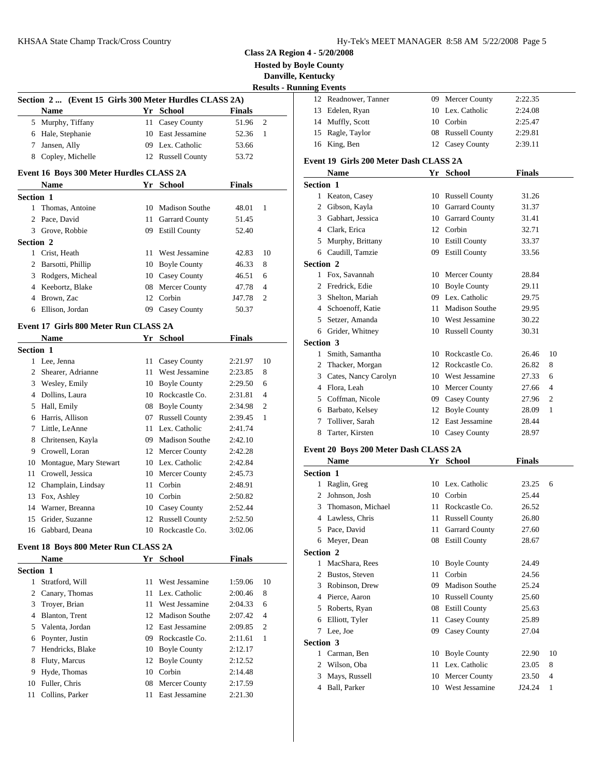| Hy-Tek's MEET MANAGER 8:58 AM 5/22/2008 Page 5 |  |  |  |
|------------------------------------------------|--|--|--|
|------------------------------------------------|--|--|--|

**Hosted by Boyle County**

|                  |                                                        |    |                   |               |                | <b>Danville, Kentucky</b>                                                                                                                                       |
|------------------|--------------------------------------------------------|----|-------------------|---------------|----------------|-----------------------------------------------------------------------------------------------------------------------------------------------------------------|
|                  |                                                        |    |                   |               |                | <b>Results - Running Events</b>                                                                                                                                 |
|                  | Section 2  (Event 15 Girls 300 Meter Hurdles CLASS 2A) |    |                   |               |                | 12 Readr                                                                                                                                                        |
|                  | <b>Name</b>                                            |    | Yr School         | <b>Finals</b> |                | 13<br>Edele                                                                                                                                                     |
|                  | 5 Murphy, Tiffany                                      |    | 11 Casey County   | 51.96         | 2              | Muffl<br>14                                                                                                                                                     |
|                  | 6 Hale, Stephanie                                      |    | 10 East Jessamine | 52.36         | 1              | Ragle<br>15                                                                                                                                                     |
|                  | 7 Jansen, Ally                                         |    | 09 Lex. Catholic  | 53.66         |                | 16 King,                                                                                                                                                        |
|                  | 8 Copley, Michelle                                     |    | 12 Russell County | 53.72         |                | Event 19 G                                                                                                                                                      |
|                  | Event 16 Boys 300 Meter Hurdles CLASS 2A               |    |                   |               |                | <b>Nam</b>                                                                                                                                                      |
|                  | Name                                                   |    | Yr School         | <b>Finals</b> |                | <b>Section 1</b>                                                                                                                                                |
| Section 1        |                                                        |    |                   |               |                | $\mathbf{1}$<br>Keato                                                                                                                                           |
|                  | 1 Thomas, Antoine                                      |    | 10 Madison Southe | 48.01         | 1              | 2<br>Gibso                                                                                                                                                      |
|                  | 2 Pace, David                                          |    | 11 Garrard County | 51.45         |                | Gabha<br>3                                                                                                                                                      |
|                  | 3 Grove, Robbie                                        |    | 09 Estill County  | 52.40         |                | Clark<br>4                                                                                                                                                      |
| Section 2        |                                                        |    |                   |               |                | 5<br>Murp                                                                                                                                                       |
|                  | 1 Crist, Heath                                         |    | 11 West Jessamine | 42.83         | 10             | Caudi<br>6                                                                                                                                                      |
|                  | 2 Barsotti, Phillip                                    |    | 10 Boyle County   | 46.33         | 8              | <b>Section 2</b>                                                                                                                                                |
|                  | 3 Rodgers, Micheal                                     |    | 10 Casey County   | 46.51         | 6              | Fox, S<br>1                                                                                                                                                     |
|                  | 4 Keebortz, Blake                                      |    | 08 Mercer County  | 47.78         | $\overline{4}$ | 2<br>Fredri                                                                                                                                                     |
|                  | 4 Brown, Zac                                           |    | 12 Corbin         | J47.78        | 2              | 3<br>Shelto                                                                                                                                                     |
| 6                | Ellison, Jordan                                        |    | 09 Casey County   | 50.37         |                | 4<br>Schoe                                                                                                                                                      |
|                  |                                                        |    |                   |               |                | 5<br>Setzer                                                                                                                                                     |
|                  | Event 17 Girls 800 Meter Run CLASS 2A                  |    |                   |               |                | Gride<br>6                                                                                                                                                      |
|                  | <b>Name</b>                                            |    | Yr School         | <b>Finals</b> |                | <b>Section 3</b>                                                                                                                                                |
| Section 1        |                                                        |    |                   |               |                | Smith<br>1                                                                                                                                                      |
|                  | 1 Lee, Jenna                                           |    | 11 Casey County   | 2:21.97       | 10             | Thack<br>2                                                                                                                                                      |
|                  | 2 Shearer, Adrianne                                    |    | 11 West Jessamine | 2:23.85       | 8              | 3<br>Cates                                                                                                                                                      |
|                  | 3 Wesley, Emily                                        |    | 10 Boyle County   | 2:29.50       | 6              | 4<br>Flora,                                                                                                                                                     |
|                  | 4 Dollins, Laura                                       |    | 10 Rockcastle Co. | 2:31.81       | $\overline{4}$ | Coffn<br>5                                                                                                                                                      |
|                  | 5 Hall, Emily                                          |    | 08 Boyle County   | 2:34.98       | 2              | Barba<br>6                                                                                                                                                      |
|                  | 6 Harris, Allison                                      |    | 07 Russell County | 2:39.45       | 1              | 7<br>Tolliv                                                                                                                                                     |
|                  | 7 Little, LeAnne                                       |    | 11 Lex. Catholic  | 2:41.74       |                | 8<br>Tarter                                                                                                                                                     |
|                  | 8 Chritensen, Kayla                                    |    | 09 Madison Southe | 2:42.10       |                | Event 20 B                                                                                                                                                      |
|                  | 9 Crowell, Loran                                       |    | 12 Mercer County  | 2:42.28       |                | <b>Nam</b>                                                                                                                                                      |
|                  |                                                        |    | 10 Lex. Catholic  | 2:42.84       |                |                                                                                                                                                                 |
|                  | 10 Montague, Mary Stewart                              |    |                   |               |                |                                                                                                                                                                 |
|                  | 11 Crowell, Jessica                                    |    | 10 Mercer County  | 2:45.73       |                |                                                                                                                                                                 |
|                  | 12 Champlain, Lindsay                                  |    | 11 Corbin         | 2:48.91       |                | $\mathbf{1}$                                                                                                                                                    |
| 13               | Fox, Ashley                                            |    | 10 Corbin         | 2:50.82       |                | 2                                                                                                                                                               |
|                  | 14 Warner, Breanna                                     |    | 10 Casey County   | 2:52.44       |                | 3                                                                                                                                                               |
| 15               | Grider, Suzanne                                        |    | 12 Russell County | 2:52.50       |                | 4                                                                                                                                                               |
|                  | 16 Gabbard, Deana                                      |    | 10 Rockcastle Co. | 3:02.06       |                | 5                                                                                                                                                               |
|                  | Event 18 Boys 800 Meter Run CLASS 2A                   |    |                   |               |                | 6                                                                                                                                                               |
|                  | <b>Name</b>                                            |    | Yr School         | <b>Finals</b> |                |                                                                                                                                                                 |
|                  |                                                        |    |                   |               |                | 1                                                                                                                                                               |
|                  | 1 Stratford, Will                                      | 11 | West Jessamine    | 1:59.06       | 10             |                                                                                                                                                                 |
|                  | 2 Canary, Thomas                                       |    | 11 Lex. Catholic  | 2:00.46       | 8              | 3                                                                                                                                                               |
|                  | 3 Troyer, Brian                                        |    | 11 West Jessamine | 2:04.33       | 6              |                                                                                                                                                                 |
|                  | 4 Blanton, Trent                                       |    | 12 Madison Southe | 2:07.42       | 4              | 5                                                                                                                                                               |
|                  | 5 Valenta, Jordan                                      |    | 12 East Jessamine | 2:09.85       | 2              | 6                                                                                                                                                               |
|                  | 6 Poynter, Justin                                      |    | 09 Rockcastle Co. | 2:11.61       | 1              | <b>Section 1</b><br>Ragli<br>Johns<br>Thom<br>Lawle<br>Pace,<br>Meye<br><b>Section 2</b><br>MacS<br>2 Busto<br>Robin<br>4 Pierce<br>Rober<br>Elliot<br>7 Lee, J |
| 7                | Hendricks, Blake                                       |    | 10 Boyle County   | 2:12.17       |                | <b>Section 3</b>                                                                                                                                                |
| 8                | Fluty, Marcus                                          |    | 12 Boyle County   | 2:12.52       |                | 1<br>Carm                                                                                                                                                       |
| 9                | Hyde, Thomas                                           |    | 10 Corbin         | 2:14.48       |                | Wilso<br>$\mathbf{2}^{\prime}$                                                                                                                                  |
| <b>Section 1</b> | 10 Fuller, Chris                                       |    | 08 Mercer County  | 2:17.59       |                | 3<br>Mays<br>4 Ball,                                                                                                                                            |

|              | <b>Danville, Kentucky</b>       |                                        |    |                       |                |    |
|--------------|---------------------------------|----------------------------------------|----|-----------------------|----------------|----|
|              | <b>Results - Running Events</b> |                                        |    |                       |                |    |
|              |                                 | 12 Readnower, Tanner                   |    | 09 Mercer County      | 2:22.35        |    |
|              |                                 | 13 Edelen, Ryan                        |    | 10 Lex. Catholic      | 2:24.08        |    |
| 2            |                                 | 14 Muffly, Scott                       |    | 10 Corbin             | 2:25.47        |    |
| $\mathbf{1}$ |                                 | 15 Ragle, Taylor                       |    | 08 Russell County     | 2:29.81        |    |
|              |                                 | 16 King, Ben                           |    | 12 Casey County       | 2:39.11        |    |
|              |                                 | Event 19 Girls 200 Meter Dash CLASS 2A |    |                       |                |    |
|              |                                 | <b>Name</b>                            |    | Yr School             | <b>Finals</b>  |    |
|              | Section 1                       |                                        |    |                       |                |    |
|              |                                 | 1 Keaton, Casey                        |    | 10 Russell County     | 31.26          |    |
| $\mathbf{1}$ |                                 | 2 Gibson, Kayla                        |    | 10 Garrard County     | 31.37          |    |
|              |                                 | 3 Gabhart, Jessica                     |    | 10 Garrard County     | 31.41          |    |
|              |                                 | 4 Clark, Erica                         |    | 12 Corbin             | 32.71          |    |
|              |                                 | 5 Murphy, Brittany                     |    | 10 Estill County      | 33.37          |    |
| 10           |                                 | 6 Caudill, Tamzie                      |    | 09 Estill County      | 33.56          |    |
| 8            | Section 2                       |                                        |    |                       |                |    |
| 6            |                                 | 1 Fox, Savannah                        |    | 10 Mercer County      | 28.84          |    |
| 4            |                                 | 2 Fredrick, Edie                       |    | 10 Boyle County       | 29.11          |    |
|              |                                 | 3 Shelton, Mariah                      |    | 09 Lex. Catholic      | 29.75          |    |
| 2            |                                 | 4 Schoenoff, Katie                     |    | 11 Madison Southe     | 29.95          |    |
|              |                                 | 5 Setzer, Amanda                       |    | 10 West Jessamine     | 30.22          |    |
|              |                                 | 6 Grider, Whitney                      |    | 10 Russell County     | 30.31          |    |
|              |                                 |                                        |    |                       |                |    |
|              | <b>Section 3</b>                | 1 Smith, Samantha                      |    | 10 Rockcastle Co.     |                | 10 |
| 10           |                                 |                                        |    | 12 Rockcastle Co.     | 26.46<br>26.82 | 8  |
| 8            |                                 | 2 Thacker, Morgan                      |    |                       |                |    |
| 6            |                                 | 3 Cates, Nancy Carolyn                 |    | 10 West Jessamine     | 27.33          | 6  |
| 4            |                                 | 4 Flora, Leah                          |    | 10 Mercer County      | 27.66          | 4  |
| 2            |                                 | 5 Coffman, Nicole                      |    | 09 Casey County       | 27.96          | 2  |
| 1            |                                 | 6 Barbato, Kelsey                      |    | 12 Boyle County       | 28.09          | 1  |
|              | 7                               | Tolliver, Sarah                        |    | 12 East Jessamine     | 28.44          |    |
|              |                                 | 8 Tarter, Kirsten                      |    | 10 Casey County       | 28.97          |    |
|              |                                 | Event 20 Boys 200 Meter Dash CLASS 2A  |    |                       |                |    |
|              |                                 | <b>Name</b>                            |    | Yr School             | <b>Finals</b>  |    |
|              | Section 1                       |                                        |    |                       |                |    |
|              |                                 | 1 Raglin, Greg                         |    | 10 Lex. Catholic      | 23.25          | 6  |
|              |                                 | 2 Johnson, Josh                        |    | 10 Corbin             | 25.44          |    |
|              | 3                               | Thomason, Michael                      |    | 11 Rockcastle Co.     | 26.52          |    |
|              | 4                               | Lawless, Chris                         |    | 11 Russell County     | 26.80          |    |
|              |                                 | 5 Pace, David                          | 11 | <b>Garrard County</b> | 27.60          |    |
|              |                                 | 6 Meyer, Dean                          |    | 08 Estill County      | 28.67          |    |
|              | Section 2                       |                                        |    |                       |                |    |
|              |                                 | 1 MacShara, Rees                       |    | 10 Boyle County       | 24.49          |    |
|              |                                 | 2 Bustos, Steven                       | 11 | Corbin                | 24.56          |    |
| 10           |                                 | 3 Robinson, Drew                       | 09 | <b>Madison Southe</b> | 25.24          |    |
| 8            |                                 | 4 Pierce, Aaron                        |    | 10 Russell County     | 25.60          |    |
| 6            |                                 | 5 Roberts, Ryan                        | 08 | <b>Estill County</b>  | 25.63          |    |
| 4            | 6                               | Elliott, Tyler                         | 11 | <b>Casey County</b>   | 25.89          |    |
| $\sqrt{2}$   |                                 | 7 Lee, Joe                             |    | 09 Casey County       | 27.04          |    |
| $\mathbf{1}$ | Section 3                       |                                        |    |                       |                |    |
|              |                                 | 1 Carman, Ben                          |    | 10 Boyle County       | 22.90          | 10 |
|              | $\mathbf{2}$                    | Wilson, Oba                            |    | 11 Lex. Catholic      | 23.05          | 8  |
|              | 3                               | Mays, Russell                          |    | 10 Mercer County      | 23.50          | 4  |
|              | 4                               | Ball, Parker                           |    | 10 West Jessamine     | J24.24         | 1  |
|              |                                 |                                        |    |                       |                |    |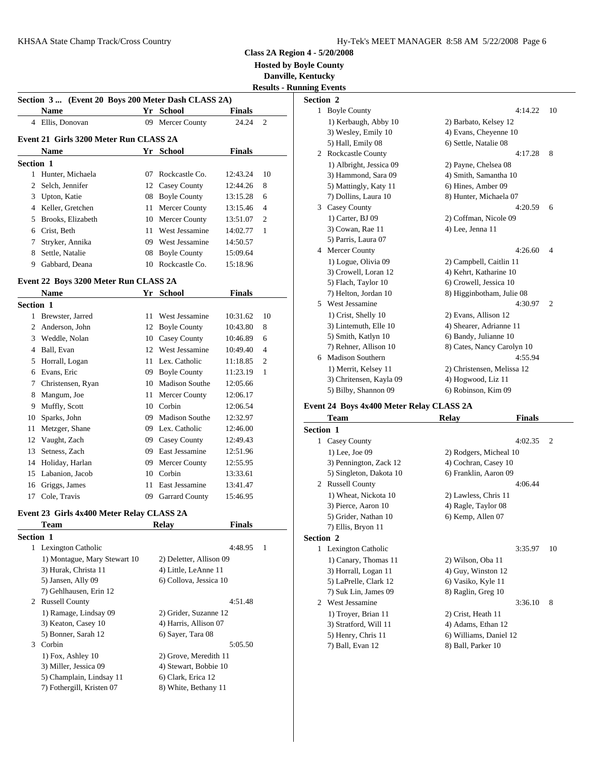**Hosted by Boyle County**

**Danville, Kentucky**

|                                                    |                                        |     |                   |               |                | <b>Results - Running Events</b> |          |
|----------------------------------------------------|----------------------------------------|-----|-------------------|---------------|----------------|---------------------------------|----------|
| Section 3  (Event 20 Boys 200 Meter Dash CLASS 2A) | Section 2                              |     |                   |               |                |                                 |          |
|                                                    | <b>Name</b>                            |     | Yr School         | <b>Finals</b> |                | $\mathbf{1}$                    | Boyle    |
| 4                                                  | Ellis, Donovan                         |     | 09 Mercer County  | 24.24         | $\overline{2}$ |                                 | 1) Kei   |
|                                                    |                                        |     |                   |               |                |                                 | $3)$ We  |
|                                                    | Event 21 Girls 3200 Meter Run CLASS 2A |     |                   |               |                |                                 | 5) Hal   |
|                                                    | <b>Name</b>                            |     | Yr School         | <b>Finals</b> |                | 2                               | Rockc    |
| Section 1                                          |                                        |     |                   |               |                |                                 | $1)$ Alb |
|                                                    | Hunter, Michaela                       |     | 07 Rockcastle Co. | 12:43.24      | 10             |                                 | 3) Har   |
|                                                    | 2 Selch, Jennifer                      |     | 12 Casey County   | 12:44.26      | 8              |                                 | 5) Ma    |
| 3                                                  | Upton, Katie                           |     | 08 Boyle County   | 13:15.28      | 6              |                                 | 7) Dol   |
| 4                                                  | Keller, Gretchen                       |     | 11 Mercer County  | 13:15.46      | $\overline{4}$ | 3                               | Casey    |
| 5                                                  | Brooks, Elizabeth                      |     | 10 Mercer County  | 13:51.07      | $\overline{2}$ |                                 | 1) Car   |
| 6                                                  | Crist, Beth                            | 11. | West Jessamine    | 14:02.77      | -1             |                                 | $3)$ Coy |
|                                                    | Stryker, Annika                        | 09  | West Jessamine    | 14:50.57      |                |                                 | 5) Pari  |
| 8                                                  | Settle, Natalie                        |     | 08 Boyle County   | 15:09.64      |                | 4                               | Merce    |
| 9                                                  | Gabbard, Deana                         |     | 10 Rockcastle Co. | 15:18.96      |                |                                 | $1)$ Log |

### **Event 22 Boys 3200 Meter Run CLASS 2A**

|                  | <b>Name</b>        | Yr | <b>School</b>         | <b>Finals</b> |                | $7)$ He               |
|------------------|--------------------|----|-----------------------|---------------|----------------|-----------------------|
| <b>Section 1</b> |                    |    |                       |               |                | West<br>5             |
| 1                | Brewster, Jarred   | 11 | West Jessamine        | 10:31.62      | 10             | $1)$ Cri              |
| 2                | Anderson, John     |    | 12 Boyle County       | 10:43.80      | 8              | $3)$ Lir              |
| 3                | Weddle, Nolan      |    | 10 Casey County       | 10:46.89      | 6              | 5) Sm                 |
| 4                | Ball, Evan         |    | 12 West Jessamine     | 10:49.40      | $\overline{4}$ | 7) Rel                |
| 5                | Horrall, Logan     |    | 11 Lex. Catholic      | 11:18.85      | $\overline{c}$ | Madis                 |
| 6                | Evans, Eric        | 09 | <b>Boyle County</b>   | 11:23.19      | 1              | $1)$ Me               |
| 7                | Christensen, Ryan  | 10 | <b>Madison Southe</b> | 12:05.66      |                | $3)$ Ch               |
| 8                | Mangum, Joe        |    | 11 Mercer County      | 12:06.17      |                | 5) Bil                |
| 9                | Muffly, Scott      | 10 | Corbin                | 12:06.54      |                | Event 24 B            |
| 10               | Sparks, John       | 09 | <b>Madison Southe</b> | 12:32.97      |                | Tean                  |
| 11               | Metzger, Shane     | 09 | Lex. Catholic         | 12:46.00      |                | Section 1             |
| 12               | Vaught, Zach       | 09 | Casey County          | 12:49.43      |                | Casey<br>$\mathbf{1}$ |
| 13               | Setness, Zach      | 09 | East Jessamine        | 12:51.96      |                | $1)$ Le               |
|                  | 14 Holiday, Harlan | 09 | Mercer County         | 12:55.95      |                | $3)$ Per              |
|                  | 15 Labanion, Jacob | 10 | Corbin                | 13:33.61      |                | $5)$ Sin              |
| 16               | Griggs, James      | 11 | East Jessamine        | 13:41.47      |                | Russe<br>2            |
| 17               | Cole, Travis       | 09 | <b>Garrard County</b> | 15:46.95      |                | $1)$ W                |

## **Event 23 Girls 4x400 Meter Relay CLASS 2A**

|                  | Team                         | Relay                   | <b>Finals</b>             | 7) E      |
|------------------|------------------------------|-------------------------|---------------------------|-----------|
| <b>Section 1</b> |                              |                         |                           | Section 2 |
|                  | 1 Lexington Catholic         |                         | 4:48.95<br>$\overline{1}$ | 1 Lexi    |
|                  | 1) Montague, Mary Stewart 10 | 2) Deletter, Allison 09 |                           | $1)$ C    |
|                  | 3) Hurak, Christa 11         | 4) Little, LeAnne 11    |                           | $3)$ H    |
|                  | 5) Jansen, Ally 09           | 6) Collova, Jessica 10  |                           | $5)$ L    |
|                  | 7) Gehlhausen, Erin 12       |                         |                           | $(7)$ Si  |
|                  | 2 Russell County             |                         | 4:51.48                   | Wes<br>2  |
|                  | 1) Ramage, Lindsay 09        | 2) Grider, Suzanne 12   |                           | 1) T      |
|                  | 3) Keaton, Casey 10          | 4) Harris, Allison 07   |                           | $3)$ St   |
|                  | 5) Bonner, Sarah 12          | 6) Sayer, Tara 08       |                           | $5$ ) H   |
| $\mathcal{F}$    | Corbin                       |                         | 5:05.50                   | 7) B      |
|                  | 1) Fox, Ashley 10            | 2) Grove, Meredith 11   |                           |           |
|                  | 3) Miller, Jessica 09        | 4) Stewart, Bobbie 10   |                           |           |
|                  | 5) Champlain, Lindsay 11     | 6) Clark, Erica 12      |                           |           |
|                  | 7) Fothergill, Kristen 07    | 8) White, Bethany 11    |                           |           |
|                  |                              |                         |                           |           |

| <b>Section 2</b> |                         |                            |                |
|------------------|-------------------------|----------------------------|----------------|
|                  | 1 Boyle County          | 4:14.22                    | 10             |
|                  | 1) Kerbaugh, Abby 10    | 2) Barbato, Kelsey 12      |                |
|                  | 3) Wesley, Emily 10     | 4) Evans, Cheyenne 10      |                |
|                  | 5) Hall, Emily 08       | 6) Settle, Natalie 08      |                |
|                  | 2 Rockcastle County     | 4:17.28                    | 8              |
|                  | 1) Albright, Jessica 09 | 2) Payne, Chelsea 08       |                |
|                  | 3) Hammond, Sara 09     | 4) Smith, Samantha 10      |                |
|                  | 5) Mattingly, Katy 11   | 6) Hines, Amber 09         |                |
|                  | 7) Dollins, Laura 10    | 8) Hunter, Michaela 07     |                |
|                  | 3 Casey County          | 4:20.59                    | 6              |
|                  | 1) Carter, BJ 09        | 2) Coffman, Nicole 09      |                |
|                  | 3) Cowan, Rae 11        | 4) Lee, Jenna 11           |                |
|                  | 5) Parris, Laura 07     |                            |                |
|                  | 4 Mercer County         | 4:26.60                    | $\overline{4}$ |
|                  | 1) Logue, Olivia 09     | 2) Campbell, Caitlin 11    |                |
|                  | 3) Crowell, Loran 12    | 4) Kehrt, Katharine 10     |                |
|                  | 5) Flach, Taylor 10     | 6) Crowell, Jessica 10     |                |
|                  | 7) Helton, Jordan 10    | 8) Higginbotham, Julie 08  |                |
|                  | 5 West Jessamine        | 4:30.97                    | $\overline{2}$ |
|                  | 1) Crist, Shelly 10     | 2) Evans, Allison 12       |                |
|                  | 3) Lintemuth, Elle 10   | 4) Shearer, Adrianne 11    |                |
|                  | 5) Smith, Katlyn 10     | 6) Bandy, Julianne 10      |                |
|                  | 7) Rehner, Allison 10   | 8) Cates, Nancy Carolyn 10 |                |
|                  | 6 Madison Southern      | 4:55.94                    |                |
|                  | 1) Merrit, Kelsey 11    | 2) Christensen, Melissa 12 |                |
|                  | 3) Chritensen, Kayla 09 | 4) Hogwood, Liz 11         |                |
|                  | 5) Bilby, Shannon 09    | 6) Robinson, Kim 09        |                |
|                  |                         |                            |                |

# **Event 24 Boys 4x400 Meter Relay CLASS 2A**

|                  | Team                    | Relay                  | <b>Finals</b> |                |
|------------------|-------------------------|------------------------|---------------|----------------|
| <b>Section 1</b> |                         |                        |               |                |
|                  | 1 Casey County          |                        | 4:02.35       | $\overline{2}$ |
|                  | 1) Lee, Joe 09          | 2) Rodgers, Micheal 10 |               |                |
|                  | 3) Pennington, Zack 12  | 4) Cochran, Casey 10   |               |                |
|                  | 5) Singleton, Dakota 10 | 6) Franklin, Aaron 09  |               |                |
| 2                | <b>Russell County</b>   |                        | 4:06.44       |                |
|                  | 1) Wheat, Nickota 10    | 2) Lawless, Chris 11   |               |                |
|                  | 3) Pierce, Aaron 10     | 4) Ragle, Taylor 08    |               |                |
|                  | 5) Grider, Nathan 10    | 6) Kemp, Allen 07      |               |                |
|                  | 7) Ellis, Bryon 11      |                        |               |                |
| Section 2        |                         |                        |               |                |
|                  | 1 Lexington Catholic    |                        | 3:35.97       | 10             |
|                  | 1) Canary, Thomas 11    | 2) Wilson, Oba 11      |               |                |
|                  | 3) Horrall, Logan 11    | 4) Guy, Winston 12     |               |                |
|                  | 5) LaPrelle, Clark 12   | 6) Vasiko, Kyle 11     |               |                |
|                  | 7) Suk Lin, James 09    | 8) Raglin, Greg 10     |               |                |
|                  | 2 West Jessamine        |                        | 3:36.10       | 8              |
|                  | 1) Troyer, Brian 11     | 2) Crist, Heath 11     |               |                |
|                  | 3) Stratford, Will 11   | 4) Adams, Ethan 12     |               |                |
|                  | 5) Henry, Chris 11      | 6) Williams, Daniel 12 |               |                |
|                  | 7) Ball, Evan 12        | 8) Ball, Parker 10     |               |                |
|                  |                         |                        |               |                |